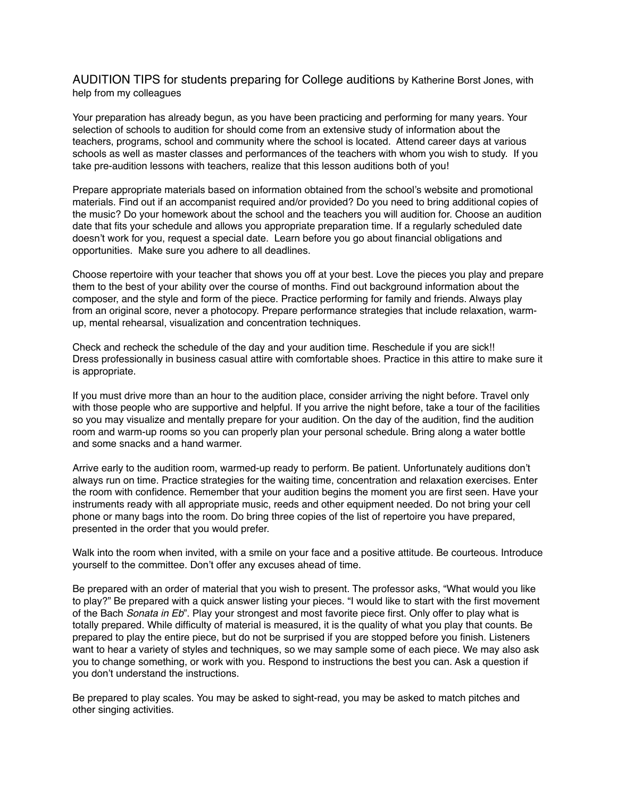AUDITION TIPS for students preparing for College auditions by Katherine Borst Jones, with help from my colleagues

Your preparation has already begun, as you have been practicing and performing for many years. Your selection of schools to audition for should come from an extensive study of information about the teachers, programs, school and community where the school is located. Attend career days at various schools as well as master classes and performances of the teachers with whom you wish to study. If you take pre-audition lessons with teachers, realize that this lesson auditions both of you!

Prepare appropriate materials based on information obtained from the school's website and promotional materials. Find out if an accompanist required and/or provided? Do you need to bring additional copies of the music? Do your homework about the school and the teachers you will audition for. Choose an audition date that fits your schedule and allows you appropriate preparation time. If a regularly scheduled date doesn't work for you, request a special date. Learn before you go about financial obligations and opportunities. Make sure you adhere to all deadlines.

Choose repertoire with your teacher that shows you off at your best. Love the pieces you play and prepare them to the best of your ability over the course of months. Find out background information about the composer, and the style and form of the piece. Practice performing for family and friends. Always play from an original score, never a photocopy. Prepare performance strategies that include relaxation, warmup, mental rehearsal, visualization and concentration techniques.

Check and recheck the schedule of the day and your audition time. Reschedule if you are sick!! Dress professionally in business casual attire with comfortable shoes. Practice in this attire to make sure it is appropriate.

If you must drive more than an hour to the audition place, consider arriving the night before. Travel only with those people who are supportive and helpful. If you arrive the night before, take a tour of the facilities so you may visualize and mentally prepare for your audition. On the day of the audition, find the audition room and warm-up rooms so you can properly plan your personal schedule. Bring along a water bottle and some snacks and a hand warmer.

Arrive early to the audition room, warmed-up ready to perform. Be patient. Unfortunately auditions don't always run on time. Practice strategies for the waiting time, concentration and relaxation exercises. Enter the room with confidence. Remember that your audition begins the moment you are first seen. Have your instruments ready with all appropriate music, reeds and other equipment needed. Do not bring your cell phone or many bags into the room. Do bring three copies of the list of repertoire you have prepared, presented in the order that you would prefer.

Walk into the room when invited, with a smile on your face and a positive attitude. Be courteous. Introduce yourself to the committee. Don't offer any excuses ahead of time.

Be prepared with an order of material that you wish to present. The professor asks, "What would you like to play?" Be prepared with a quick answer listing your pieces. "I would like to start with the first movement of the Bach *Sonata in Eb*". Play your strongest and most favorite piece first. Only offer to play what is totally prepared. While difficulty of material is measured, it is the quality of what you play that counts. Be prepared to play the entire piece, but do not be surprised if you are stopped before you finish. Listeners want to hear a variety of styles and techniques, so we may sample some of each piece. We may also ask you to change something, or work with you. Respond to instructions the best you can. Ask a question if you don't understand the instructions.

Be prepared to play scales. You may be asked to sight-read, you may be asked to match pitches and other singing activities.